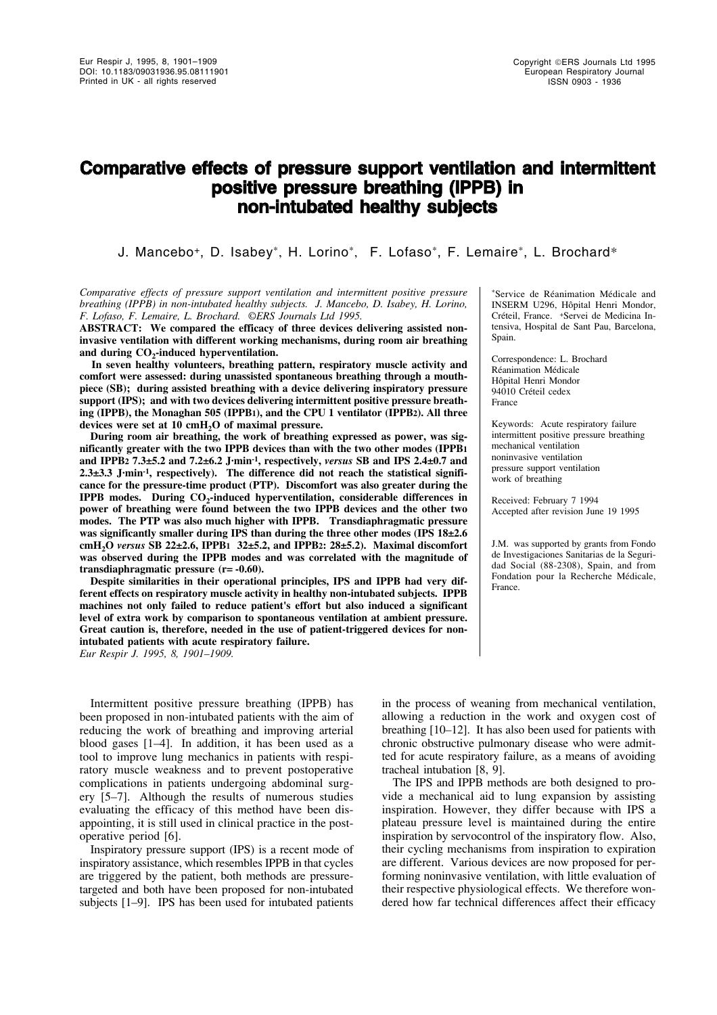# **Comparative effects of pressure support ventilation and intermittent positive pressure breathing (IPPB) in non-intubated healthy subjects**

J. Mancebo+, D. Isabey\*, H. Lorino\*, F. Lofaso\*, F. Lemaire\*, L. Brochard\*

*Comparative effects of pressure support ventilation and intermittent positive pressure breathing (IPPB) in non-intubated healthy subjects. J. Mancebo, D. Isabey, H. Lorino, F. Lofaso, F. Lemaire, L. Brochard. ©ERS Journals Ltd 1995.*

**ABSTRACT: We compared the efficacy of three devices delivering assisted noninvasive ventilation with different working mechanisms, during room air breathing** and during CO<sub>2</sub>-induced hyperventilation.

**In seven healthy volunteers, breathing pattern, respiratory muscle activity and comfort were assessed: during unassisted spontaneous breathing through a mouthpiece (SB); during assisted breathing with a device delivering inspiratory pressure support (IPS); and with two devices delivering intermittent positive pressure breathing (IPPB), the Monaghan 505 (IPPB1), and the CPU 1 ventilator (IPPB2). All three devices were set at 10 cmH2O of maximal pressure.**

**During room air breathing, the work of breathing expressed as power, was significantly greater with the two IPPB devices than with the two other modes (IPPB1 and IPPB2 7.3±5.2 and 7.2±6.2 J·min-1, respectively,** *versus* **SB and IPS 2.4±0.7 and 2.3±3.3 J·min-1, respectively). The difference did not reach the statistical significance for the pressure-time product (PTP). Discomfort was also greater during the IPPB** modes. During CO<sub>2</sub>-induced hyperventilation, considerable differences in **power of breathing were found between the two IPPB devices and the other two modes. The PTP was also much higher with IPPB. Transdiaphragmatic pressure was significantly smaller during IPS than during the three other modes (IPS 18±2.6** cmH<sub>2</sub>O *versus* SB 22 $\pm$ 2.6, IPPB<sub>1</sub> 32 $\pm$ 5.2, and IPPB2: 28 $\pm$ 5.2). Maximal discomfort **was observed during the IPPB modes and was correlated with the magnitude of transdiaphragmatic pressure (r= -0.60).**

**Despite similarities in their operational principles, IPS and IPPB had very different effects on respiratory muscle activity in healthy non-intubated subjects. IPPB machines not only failed to reduce patient's effort but also induced a significant level of extra work by comparison to spontaneous ventilation at ambient pressure. Great caution is, therefore, needed in the use of patient-triggered devices for nonintubated patients with acute respiratory failure.** *Eur Respir J. 1995, 8, 1901–1909.*

Intermittent positive pressure breathing (IPPB) has been proposed in non-intubated patients with the aim of reducing the work of breathing and improving arterial blood gases [1–4]. In addition, it has been used as a tool to improve lung mechanics in patients with respiratory muscle weakness and to prevent postoperative complications in patients undergoing abdominal surgery [5–7]. Although the results of numerous studies evaluating the efficacy of this method have been disappointing, it is still used in clinical practice in the postoperative period [6].

Inspiratory pressure support (IPS) is a recent mode of inspiratory assistance, which resembles IPPB in that cycles are triggered by the patient, both methods are pressuretargeted and both have been proposed for non-intubated subjects [1–9]. IPS has been used for intubated patients

in the process of weaning from mechanical ventilation, allowing a reduction in the work and oxygen cost of breathing [10–12]. It has also been used for patients with chronic obstructive pulmonary disease who were admitted for acute respiratory failure, as a means of avoiding tracheal intubation [8, 9].

The IPS and IPPB methods are both designed to provide a mechanical aid to lung expansion by assisting inspiration. However, they differ because with IPS a plateau pressure level is maintained during the entire inspiration by servocontrol of the inspiratory flow. Also, their cycling mechanisms from inspiration to expiration are different. Various devices are now proposed for performing noninvasive ventilation, with little evaluation of their respective physiological effects. We therefore wondered how far technical differences affect their efficacy

\*Service de Réanimation Médicale and INSERM U296, Hôpital Henri Mondor, Créteil, France. +Servei de Medicina Intensiva, Hospital de Sant Pau, Barcelona, Spain.

Correspondence: L. Brochard Réanimation Médicale Hôpital Henri Mondor 94010 Créteil cedex France

Keywords: Acute respiratory failure intermittent positive pressure breathing mechanical ventilation noninvasive ventilation pressure support ventilation work of breathing

Received: February 7 1994 Accepted after revision June 19 1995

J.M. was supported by grants from Fondo de Investigaciones Sanitarias de la Seguridad Social (88-2308), Spain, and from Fondation pour la Recherche Médicale, France.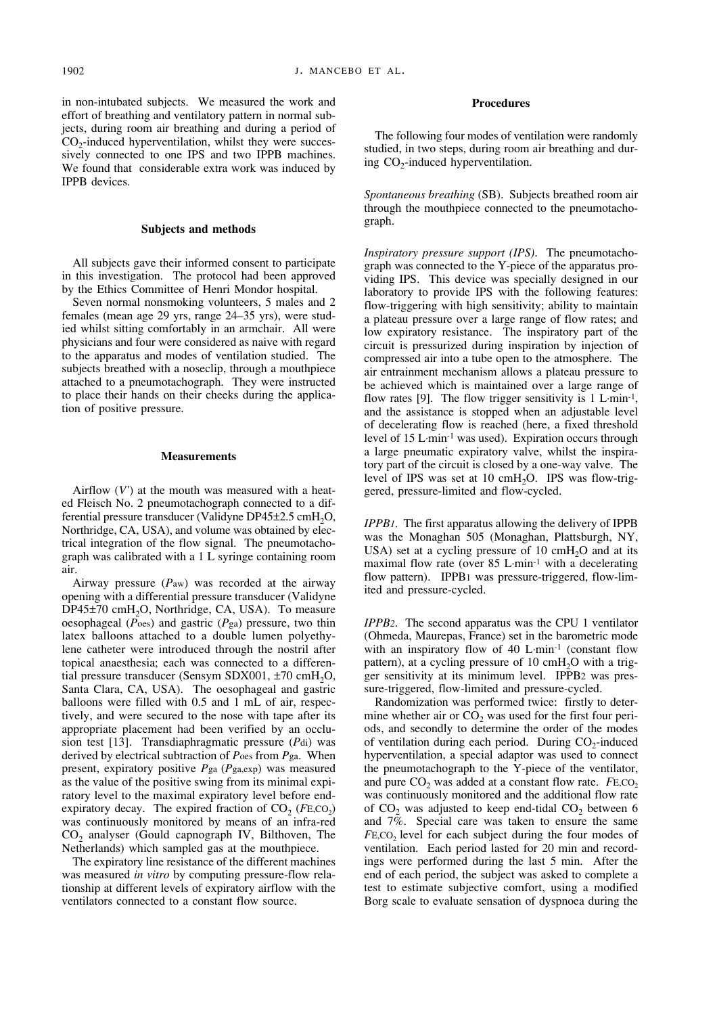in non-intubated subjects. We measured the work and effort of breathing and ventilatory pattern in normal subjects, during room air breathing and during a period of  $CO<sub>2</sub>$ -induced hyperventilation, whilst they were successively connected to one IPS and two IPPB machines. We found that considerable extra work was induced by IPPB devices.

# **Subjects and methods**

All subjects gave their informed consent to participate in this investigation. The protocol had been approved by the Ethics Committee of Henri Mondor hospital.

Seven normal nonsmoking volunteers, 5 males and 2 females (mean age 29 yrs, range 24–35 yrs), were studied whilst sitting comfortably in an armchair. All were physicians and four were considered as naive with regard to the apparatus and modes of ventilation studied. The subjects breathed with a noseclip, through a mouthpiece attached to a pneumotachograph. They were instructed to place their hands on their cheeks during the application of positive pressure.

# **Measurements**

Airflow (*V*') at the mouth was measured with a heated Fleisch No. 2 pneumotachograph connected to a differential pressure transducer (Validyne DP45 $\pm$ 2.5 cmH<sub>2</sub>O, Northridge, CA, USA), and volume was obtained by electrical integration of the flow signal. The pneumotachograph was calibrated with a 1 L syringe containing room air.

Airway pressure (*P*aw) was recorded at the airway opening with a differential pressure transducer (Validyne DP45±70 cmH<sub>2</sub>O, Northridge, CA, USA). To measure oesophageal (*P*oes) and gastric (*P*ga) pressure, two thin latex balloons attached to a double lumen polyethylene catheter were introduced through the nostril after topical anaesthesia; each was connected to a differential pressure transducer (Sensym SDX001,  $\pm$ 70 cmH<sub>2</sub>O, Santa Clara, CA, USA). The oesophageal and gastric balloons were filled with 0.5 and 1 mL of air, respectively, and were secured to the nose with tape after its appropriate placement had been verified by an occlusion test [13]. Transdiaphragmatic pressure (*P*di) was derived by electrical subtraction of *P*oes from *P*ga. When present, expiratory positive *P*ga (*P*ga,exp) was measured as the value of the positive swing from its minimal expiratory level to the maximal expiratory level before endexpiratory decay. The expired fraction of  $CO_2$  ( $F$ E,CO<sub>2</sub>) was continuously monitored by means of an infra-red  $CO<sub>2</sub>$  analyser (Gould capnograph IV, Bilthoven, The Netherlands) which sampled gas at the mouthpiece.

The expiratory line resistance of the different machines was measured *in vitro* by computing pressure-flow relationship at different levels of expiratory airflow with the ventilators connected to a constant flow source.

# **Procedures**

The following four modes of ventilation were randomly studied, in two steps, during room air breathing and during  $CO_2$ -induced hyperventilation.

*Spontaneous breathing* (SB). Subjects breathed room air through the mouthpiece connected to the pneumotachograph.

*Inspiratory pressure support (IPS)*. The pneumotachograph was connected to the Y-piece of the apparatus providing IPS. This device was specially designed in our laboratory to provide IPS with the following features: flow-triggering with high sensitivity; ability to maintain a plateau pressure over a large range of flow rates; and low expiratory resistance. The inspiratory part of the circuit is pressurized during inspiration by injection of compressed air into a tube open to the atmosphere. The air entrainment mechanism allows a plateau pressure to be achieved which is maintained over a large range of flow rates [9]. The flow trigger sensitivity is  $1 \text{ L-min-1}$ , and the assistance is stopped when an adjustable level of decelerating flow is reached (here, a fixed threshold level of 15 L·min-1 was used). Expiration occurs through a large pneumatic expiratory valve, whilst the inspiratory part of the circuit is closed by a one-way valve. The level of IPS was set at 10 cmH<sub>2</sub>O. IPS was flow-triggered, pressure-limited and flow-cycled.

*IPPB1*. The first apparatus allowing the delivery of IPPB was the Monaghan 505 (Monaghan, Plattsburgh, NY, USA) set at a cycling pressure of 10 cmH<sub>2</sub>O and at its maximal flow rate (over  $85 \text{ L·min-1}$  with a decelerating flow pattern). IPPB1 was pressure-triggered, flow-limited and pressure-cycled.

*IPPB2*. The second apparatus was the CPU 1 ventilator (Ohmeda, Maurepas, France) set in the barometric mode with an inspiratory flow of 40 L·min<sup>-1</sup> (constant flow pattern), at a cycling pressure of 10 cmH<sub>2</sub>O with a trigger sensitivity at its minimum level. IPPB2 was pressure-triggered, flow-limited and pressure-cycled.

Randomization was performed twice: firstly to determine whether air or  $CO<sub>2</sub>$  was used for the first four periods, and secondly to determine the order of the modes of ventilation during each period. During  $CO<sub>2</sub>$ -induced hyperventilation, a special adaptor was used to connect the pneumotachograph to the Y-piece of the ventilator, and pure  $CO_2$  was added at a constant flow rate.  $FE, CO_2$ was continuously monitored and the additional flow rate of  $CO<sub>2</sub>$  was adjusted to keep end-tidal  $CO<sub>2</sub>$  between 6 and 7%. Special care was taken to ensure the same  $F_{\text{E,CO}_2}$  level for each subject during the four modes of ventilation. Each period lasted for 20 min and recordings were performed during the last 5 min. After the end of each period, the subject was asked to complete a test to estimate subjective comfort, using a modified Borg scale to evaluate sensation of dyspnoea during the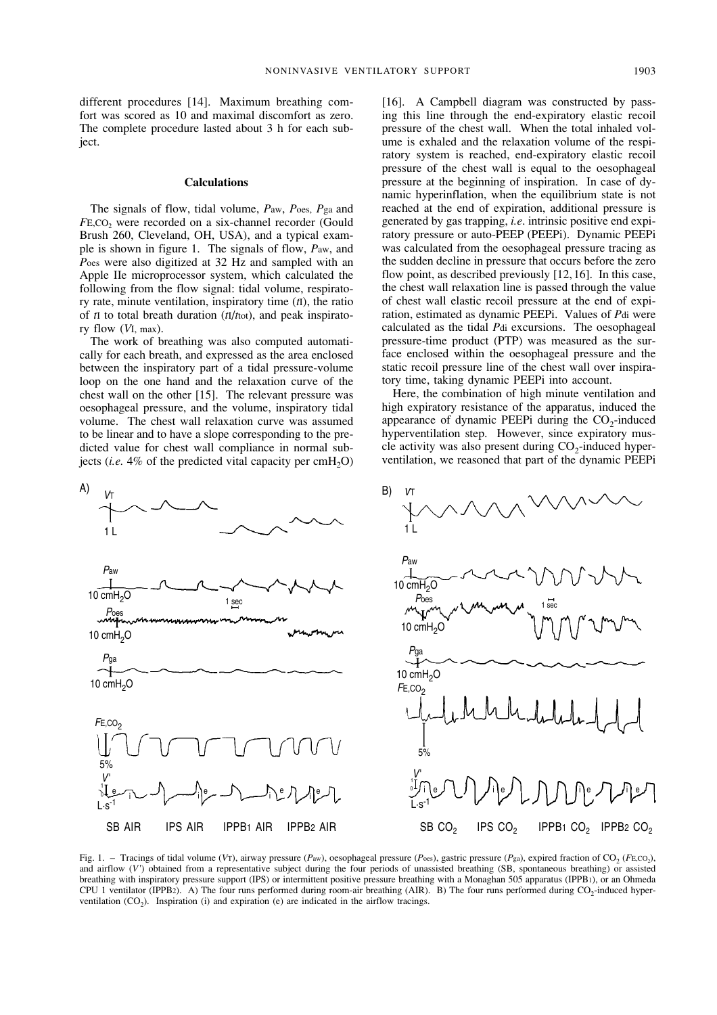different procedures [14]. Maximum breathing comfort was scored as 10 and maximal discomfort as zero. The complete procedure lasted about 3 h for each subject.

### **Calculations**

The signals of flow, tidal volume, *P*aw, *P*oes, *P*ga and *FE,CO*<sub>2</sub> were recorded on a six-channel recorder (Gould Brush 260, Cleveland, OH, USA), and a typical example is shown in figure 1. The signals of flow, *P*aw, and *P*oes were also digitized at 32 Hz and sampled with an Apple IIe microprocessor system, which calculated the following from the flow signal: tidal volume, respiratory rate, minute ventilation, inspiratory time (*t*I), the ratio of *t*I to total breath duration (*t*I/*t*tot), and peak inspiratory flow (*V*I, max).

The work of breathing was also computed automatically for each breath, and expressed as the area enclosed between the inspiratory part of a tidal pressure-volume loop on the one hand and the relaxation curve of the chest wall on the other [15]. The relevant pressure was oesophageal pressure, and the volume, inspiratory tidal volume. The chest wall relaxation curve was assumed to be linear and to have a slope corresponding to the predicted value for chest wall compliance in normal subjects (*i.e.*  $4\%$  of the predicted vital capacity per cmH<sub>2</sub>O)

 $V$ 1 L *P*aw 10 cmH<sub>2</sub>O *P*oes 10  $cmH<sub>2</sub>O$ 1 sec a) A) 1 L *V*T *P*aw Poes<br>**W** 10 cm $\overline{H}_2$ O 10  $cmH<sub>2</sub>O$ B) *V*'  $L·s<sup>-1</sup>$ 1 *P*ga 10  $cmH<sub>2</sub>O$  $FE_{1}CO_{2}$ 5% *V*'  $L·s<sup>-1</sup>$ واكرا في المسلم لسير السير السير السير المستقبلة 1 SB AIR  $\;$  IPS AIR  $\;$  IPPB1 AIR  $\;$  IPPB2 AIR  $\;$  SB CO $_2$   $\;$  IPS CO $_2$   $\;$  IPPB1 CO $_2$  IPPB2 CO $_2$ *P*ga 10  $cmH<sub>2</sub>O$  $FE, CO<sub>2</sub>$ 5%

[16]. A Campbell diagram was constructed by passing this line through the end-expiratory elastic recoil pressure of the chest wall. When the total inhaled volume is exhaled and the relaxation volume of the respiratory system is reached, end-expiratory elastic recoil pressure of the chest wall is equal to the oesophageal pressure at the beginning of inspiration. In case of dynamic hyperinflation, when the equilibrium state is not reached at the end of expiration, additional pressure is generated by gas trapping, *i.e*. intrinsic positive end expiratory pressure or auto-PEEP (PEEPi). Dynamic PEEPi was calculated from the oesophageal pressure tracing as the sudden decline in pressure that occurs before the zero flow point, as described previously [12,16]. In this case, the chest wall relaxation line is passed through the value of chest wall elastic recoil pressure at the end of expiration, estimated as dynamic PEEPi. Values of *P*di were calculated as the tidal *P*di excursions. The oesophageal pressure-time product (PTP) was measured as the surface enclosed within the oesophageal pressure and the static recoil pressure line of the chest wall over inspiratory time, taking dynamic PEEPi into account.

Here, the combination of high minute ventilation and high expiratory resistance of the apparatus, induced the appearance of dynamic PEEPi during the  $CO<sub>2</sub>$ -induced hyperventilation step. However, since expiratory muscle activity was also present during  $CO<sub>2</sub>$ -induced hyperventilation, we reasoned that part of the dynamic PEEPi



Fig. 1. – Tracings of tidal volume (VT), airway pressure (*Paw*), oesophageal pressure (*Poes*), gastric pressure (*Pga*), expired fraction of CO<sub>2</sub> (*FE,CO*<sub>2</sub>), and airflow (*V*<sup>'</sup>) obtained from a representative subject during the four periods of unassisted breathing (SB, spontaneous breathing) or assisted breathing with inspiratory pressure support (IPS) or intermittent positive pressure breathing with a Monaghan 505 apparatus (IPPB1), or an Ohmeda CPU 1 ventilator (IPPB2). A) The four runs performed during room-air breathing (AIR). B) The four runs performed during  $CO_2$ -induced hyperventilation  $(CO_2)$ . Inspiration (i) and expiration (e) are indicated in the airflow tracings.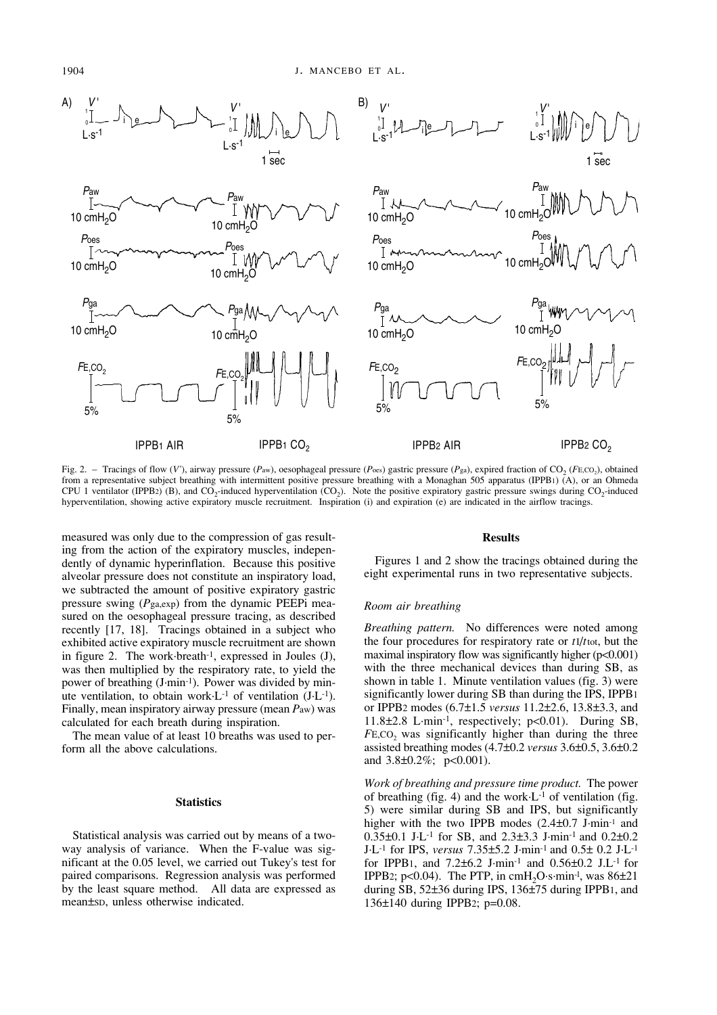

Fig. 2. – Tracings of flow (V'), airway pressure ( $P_{aw}$ ), oesophageal pressure ( $P_{obs}$ ) gastric pressure ( $P_{ga}$ ), expired fraction of CO<sub>2</sub> ( $F_{EC}$ CO<sub>2</sub>), obtained from a representative subject breathing with intermittent positive pressure breathing with a Monaghan 505 apparatus (IPPB1) (A), or an Ohmeda CPU 1 ventilator (IPPB2) (B), and  $CO<sub>2</sub>$ -induced hyperventilation (CO<sub>2</sub>). Note the positive expiratory gastric pressure swings during  $CO<sub>2</sub>$ -induced hyperventilation, showing active expiratory muscle recruitment. Inspiration (i) and expiration (e) are indicated in the airflow tracings.

measured was only due to the compression of gas resulting from the action of the expiratory muscles, independently of dynamic hyperinflation. Because this positive alveolar pressure does not constitute an inspiratory load, we subtracted the amount of positive expiratory gastric pressure swing (*P*ga,exp) from the dynamic PEEPi measured on the oesophageal pressure tracing, as described recently [17, 18]. Tracings obtained in a subject who exhibited active expiratory muscle recruitment are shown in figure 2. The work-breath $^{-1}$ , expressed in Joules (J), was then multiplied by the respiratory rate, to yield the power of breathing (J·min-1). Power was divided by minute ventilation, to obtain work $\cdot L^{-1}$  of ventilation (J $\cdot L^{-1}$ ). Finally, mean inspiratory airway pressure (mean *P*aw) was calculated for each breath during inspiration.

The mean value of at least 10 breaths was used to perform all the above calculations.

# **Statistics**

Statistical analysis was carried out by means of a twoway analysis of variance. When the F-value was significant at the 0.05 level, we carried out Tukey's test for paired comparisons. Regression analysis was performed by the least square method. All data are expressed as mean±SD, unless otherwise indicated.

#### **Results**

Figures 1 and 2 show the tracings obtained during the eight experimental runs in two representative subjects.

# *Room air breathing*

*Breathing pattern.* No differences were noted among the four procedures for respiratory rate or *t*I/*t*tot, but the maximal inspiratory flow was significantly higher ( $p<0.001$ ) with the three mechanical devices than during SB, as shown in table 1. Minute ventilation values (fig. 3) were significantly lower during SB than during the IPS, IPPB1 or IPPB2 modes (6.7±1.5 *versus* 11.2±2.6, 13.8±3.3, and 11.8 $\pm$ 2.8 L·min<sup>-1</sup>, respectively; p<0.01). During SB, *FE,CO<sub>2</sub>* was significantly higher than during the three assisted breathing modes (4.7±0.2 *versus* 3.6±0.5, 3.6±0.2 and  $3.8\pm0.2\%$ ; p<0.001).

*Work of breathing and pressure time product.* The power of breathing (fig. 4) and the work $\cdot L^{-1}$  of ventilation (fig. 5) were similar during SB and IPS, but significantly higher with the two IPPB modes (2.4±0.7 J·min-1 and 0.35±0.1 J·L-1 for SB, and 2.3±3.3 J·min-1 and 0.2±0.2 J·L-1 for IPS, *versus* 7.35±5.2 J·min-1 and 0.5± 0.2 J·L-1 for IPPB1, and  $7.2\pm6.2$  J·min<sup>-1</sup> and  $0.56\pm0.2$  J.L<sup>-1</sup> for IPPB2; p<0.04). The PTP, in  $cmH_2O·s·min^{-1}$ , was  $86±21$ during SB,  $52\pm36$  during IPS,  $136\pm75$  during IPPB1, and 136±140 during IPPB2; p=0.08.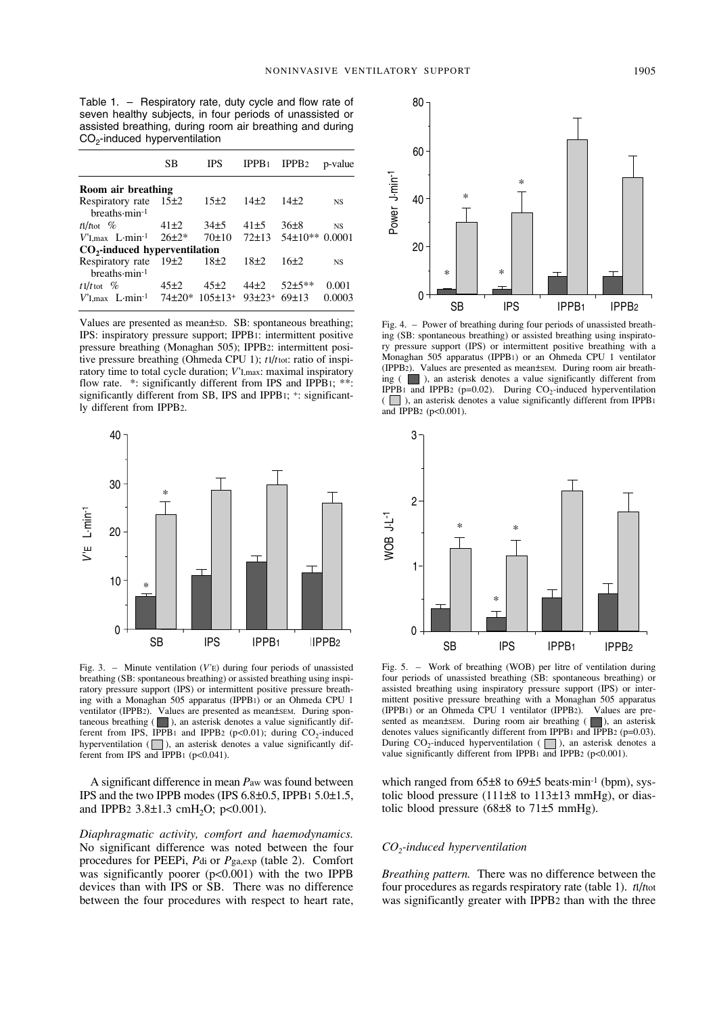Table 1. – Respiratory rate, duty cycle and flow rate of seven healthy subjects, in four periods of unassisted or assisted breathing, during room air breathing and during CO<sub>2</sub>-induced hyperventilation

|                                                     | SВ       | <b>IPS</b> | $IPPB_1$ $IPPB_2$ |                    | p-value   |  |  |  |  |
|-----------------------------------------------------|----------|------------|-------------------|--------------------|-----------|--|--|--|--|
| Room air breathing                                  |          |            |                   |                    |           |  |  |  |  |
| Respiratory rate $15\pm2$<br>$breaths·min-1$        |          | 15±2       | $14+2$            | $14+2$             | <b>NS</b> |  |  |  |  |
| $tI/t$ tot $\%$                                     | $41\pm2$ | $34+5$     | $41 + 5$          | $36+8$             | <b>NS</b> |  |  |  |  |
| $V$ I.max L·min <sup>-1</sup> 26 $\pm$ 2*           |          | 70±10      | $72 \pm 13$       | $54\pm10**$ 0.0001 |           |  |  |  |  |
| CO <sub>2</sub> -induced hyperventilation           |          |            |                   |                    |           |  |  |  |  |
| Respiratory rate $19\pm2$<br>breaths min-1          |          | $18\pm2$   | $18\pm2$          | $16+2$             | <b>NS</b> |  |  |  |  |
| $tI/t$ to t $\%$                                    | $45+2$   | $45\pm2$   | $44 + 2$          | $52+5**$           | 0.001     |  |  |  |  |
| $V'$ Lmax L·min <sup>-1</sup> 74±20* 105±13+ 93±23+ |          |            |                   | 69±13              | 0.0003    |  |  |  |  |

Values are presented as mean±sp. SB: spontaneous breathing; IPS: inspiratory pressure support; IPPB1: intermittent positive pressure breathing (Monaghan 505); IPPB2: intermittent positive pressure breathing (Ohmeda CPU 1); *t*I/*t*tot: ratio of inspiratory time to total cycle duration; *V*'I,max: maximal inspiratory flow rate. \*: significantly different from IPS and IPPB1; \*\*: significantly different from SB, IPS and IPPB1;  $\pm$ : significantly different from IPPB2.



Fig. 3. – Minute ventilation (*V*'E) during four periods of unassisted breathing (SB: spontaneous breathing) or assisted breathing using inspiratory pressure support (IPS) or intermittent positive pressure breathing with a Monaghan 505 apparatus (IPPB1) or an Ohmeda CPU 1 ventilator (IPPB2). Values are presented as mean±sEM. During spontaneous breathing ( $\Box$ ), an asterisk denotes a value significantly different from IPS, IPPB1 and IPPB2 (p<0.01); during  $CO_2$ -induced hyperventilation  $(\Box)$ , an asterisk denotes a value significantly different from IPS and IPPB1 (p<0.041).

A significant difference in mean *P*aw was found between IPS and the two IPPB modes (IPS 6.8±0.5, IPPB1 5.0±1.5, and IPPB2 3.8 $\pm$ 1.3 cmH<sub>2</sub>O; p<0.001).

*Diaphragmatic activity, comfort and haemodynamics.* No significant difference was noted between the four procedures for PEEPi, *P*di or *P*ga,exp (table 2). Comfort was significantly poorer (p<0.001) with the two IPPB devices than with IPS or SB. There was no difference between the four procedures with respect to heart rate,



Fig. 4. – Power of breathing during four periods of unassisted breathing (SB: spontaneous breathing) or assisted breathing using inspiratory pressure support (IPS) or intermittent positive breathing with a Monaghan 505 apparatus (IPPB1) or an Ohmeda CPU 1 ventilator (IPPB2). Values are presented as mean±SEM. During room air breathing  $($   $\blacksquare$ ), an asterisk denotes a value significantly different from IPPB<sub>1</sub> and IPPB<sub>2</sub> (p=0.02). During  $CO_2$ -induced hyperventilation  $(\Box)$ , an asterisk denotes a value significantly different from IPPB1 and IPPB<sub>2</sub> (p<0.001).



Fig. 5. – Work of breathing (WOB) per litre of ventilation during four periods of unassisted breathing (SB: spontaneous breathing) or assisted breathing using inspiratory pressure support (IPS) or intermittent positive pressure breathing with a Monaghan 505 apparatus  $(IPPB1)$  or an Ohmeda CPU 1 ventilator  $(IPPB2)$ . Values are presented as mean $\pm$ sem. During room air breathing ( $\Box$ ), an asterisk denotes values significantly different from IPPB<sub>1</sub> and IPPB<sub>2</sub> (p=0.03). During  $CO_2$ -induced hyperventilation ( $\Box$ ), an asterisk denotes a value significantly different from IPPB1 and IPPB2 (p<0.001).

which ranged from  $65\pm8$  to  $69\pm5$  beats·min<sup>-1</sup> (bpm), systolic blood pressure  $(111\pm8 \text{ to } 113\pm13 \text{ mmHg})$ , or diastolic blood pressure (68±8 to 71±5 mmHg).

# *CO2-induced hyperventilation*

*Breathing pattern.* There was no difference between the four procedures as regards respiratory rate (table 1). *t*I/*t*tot was significantly greater with IPPB2 than with the three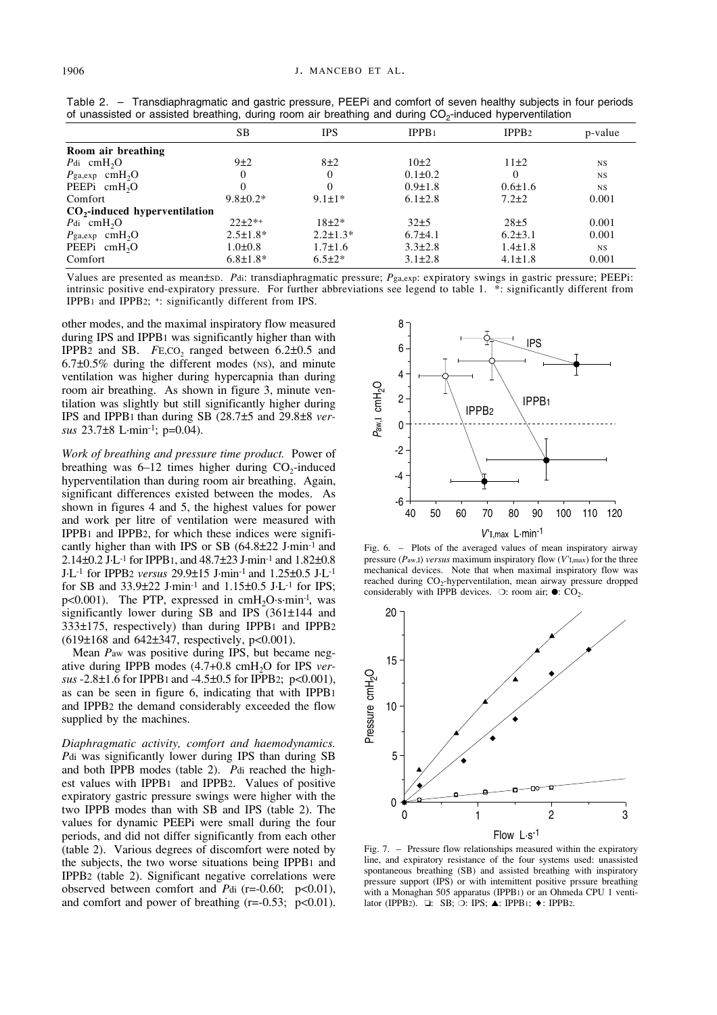|                                           | ີ              |                |               |                   |           |
|-------------------------------------------|----------------|----------------|---------------|-------------------|-----------|
|                                           | <b>SB</b>      | IPS            | IPPB1         | IPPB <sub>2</sub> | p-value   |
| Room air breathing                        |                |                |               |                   |           |
| Pdi cm $H_2O$                             | $9\pm2$        | 8±2            | 10±2          | $11\pm2$          | <b>NS</b> |
| $P_{\text{ga,exp}}$ cmH <sub>2</sub> O    |                | $\theta$       | $0.1 \pm 0.2$ |                   | <b>NS</b> |
| PEEPi $cmH2O$                             |                | $\theta$       | $0.9 \pm 1.8$ | $0.6 \pm 1.6$     | <b>NS</b> |
| Comfort                                   | $9.8 \pm 0.2*$ | $9.1 \pm 1*$   | $6.1 \pm 2.8$ | $7.2 \pm 2$       | 0.001     |
| CO <sub>2</sub> -induced hyperventilation |                |                |               |                   |           |
| P <sub>di</sub> cmH <sub>2</sub> O        | $22+2$ *+      | $18+2*$        | $32\pm5$      | $28\pm5$          | 0.001     |
| $P_{\text{ga,exp}}$ cmH <sub>2</sub> O    | $2.5 \pm 1.8*$ | $2.2 \pm 1.3*$ | $6.7{\pm}4.1$ | $6.2 \pm 3.1$     | 0.001     |
| $PEEPi$ cmH <sub>2</sub> O                | $1.0 \pm 0.8$  | $1.7 \pm 1.6$  | $3.3 \pm 2.8$ | $1.4 \pm 1.8$     | <b>NS</b> |
| Comfort                                   | $6.8 \pm 1.8*$ | $6.5 \pm 2*$   | $3.1 \pm 2.8$ | $4.1 \pm 1.8$     | 0.001     |
|                                           |                |                |               |                   |           |

Table 2. – Transdiaphragmatic and gastric pressure, PEEPi and comfort of seven healthy subjects in four periods of unassisted or assisted breathing, during room air breathing and during CO<sub>2</sub>-induced hyperventilation

Values are presented as mean±SD. *P*di: transdiaphragmatic pressure; *P*ga,exp: expiratory swings in gastric pressure; PEEPi: intrinsic positive end-expiratory pressure. For further abbreviations see legend to table 1. \*: significantly different from IPPB1 and IPPB2; +: significantly different from IPS.

other modes, and the maximal inspiratory flow measured during IPS and IPPB1 was significantly higher than with IPPB<sub>2</sub> and SB. *F*E,CO<sub>2</sub> ranged between 6.2±0.5 and  $6.7\pm0.5\%$  during the different modes (NS), and minute ventilation was higher during hypercapnia than during room air breathing. As shown in figure 3, minute ventilation was slightly but still significantly higher during IPS and IPPB1 than during SB (28.7±5 and 29.8±8 *versus* 23.7±8 L·min-1; p=0.04).

*Work of breathing and pressure time product.* Power of breathing was  $6-12$  times higher during  $CO<sub>2</sub>$ -induced hyperventilation than during room air breathing. Again, significant differences existed between the modes. As shown in figures 4 and 5, the highest values for power and work per litre of ventilation were measured with IPPB1 and IPPB2, for which these indices were significantly higher than with IPS or SB (64.8±22 J·min-1 and 2.14±0.2 J·L-1 for IPPB1, and 48.7±23 J·min-1 and 1.82±0.8 J·L-1 for IPPB2 *versus* 29.9±15 J·min-1 and 1.25±0.5 J·L-1 for SB and 33.9±22 J·min-1 and 1.15±0.5 J·L-1 for IPS; p<0.001). The PTP, expressed in  $cmH<sub>2</sub>O·s·min<sup>-1</sup>$ , was significantly lower during SB and IPS  $(361\pm144)$  and 333±175, respectively) than during IPPB1 and IPPB2 (619±168 and 642±347, respectively, p<0.001).

Mean *P*aw was positive during IPS, but became negative during IPPB modes  $(4.7+0.8 \text{ cm})$ <sub>1</sub>O for IPS *versus* -2.8±1.6 for IPPB1 and -4.5±0.5 for IPPB2; p<0.001), as can be seen in figure 6, indicating that with IPPB1 and IPPB2 the demand considerably exceeded the flow supplied by the machines.

*Diaphragmatic activity, comfort and haemodynamics. P*di was significantly lower during IPS than during SB and both IPPB modes (table 2). *P*di reached the highest values with IPPB1 and IPPB2. Values of positive expiratory gastric pressure swings were higher with the two IPPB modes than with SB and IPS (table 2). The values for dynamic PEEPi were small during the four periods, and did not differ significantly from each other (table 2). Various degrees of discomfort were noted by the subjects, the two worse situations being IPPB1 and IPPB2 (table 2). Significant negative correlations were observed between comfort and *P*di (r=-0.60; p<0.01), and comfort and power of breathing  $(r=-0.53; p<0.01)$ .



Fig. 6. – Plots of the averaged values of mean inspiratory airway pressure (*P*aw,I) *versus* maximum inspiratory flow (*V*'I,max) for the three mechanical devices. Note that when maximal inspiratory flow was reached during CO<sub>2</sub>-hyperventilation, mean airway pressure dropped considerably with IPPB devices.  $\bigcirc$ : room air;  $\bullet$ : CO<sub>2</sub>.



Fig. 7. – Pressure flow relationships measured within the expiratory line, and expiratory resistance of the four systems used: unassisted spontaneous breathing (SB) and assisted breathing with inspiratory pressure support (IPS) or with intemittent positive prssure breathing with a Monaghan 505 apparatus (IPPB1) or an Ohmeda CPU 1 ventilator (IPPB2).  $\Box$ : SB;  $\dot{\bigcirc}$ : IPS;  $\blacktriangle$ : IPPB1;  $\blacklozenge$ : IPPB2.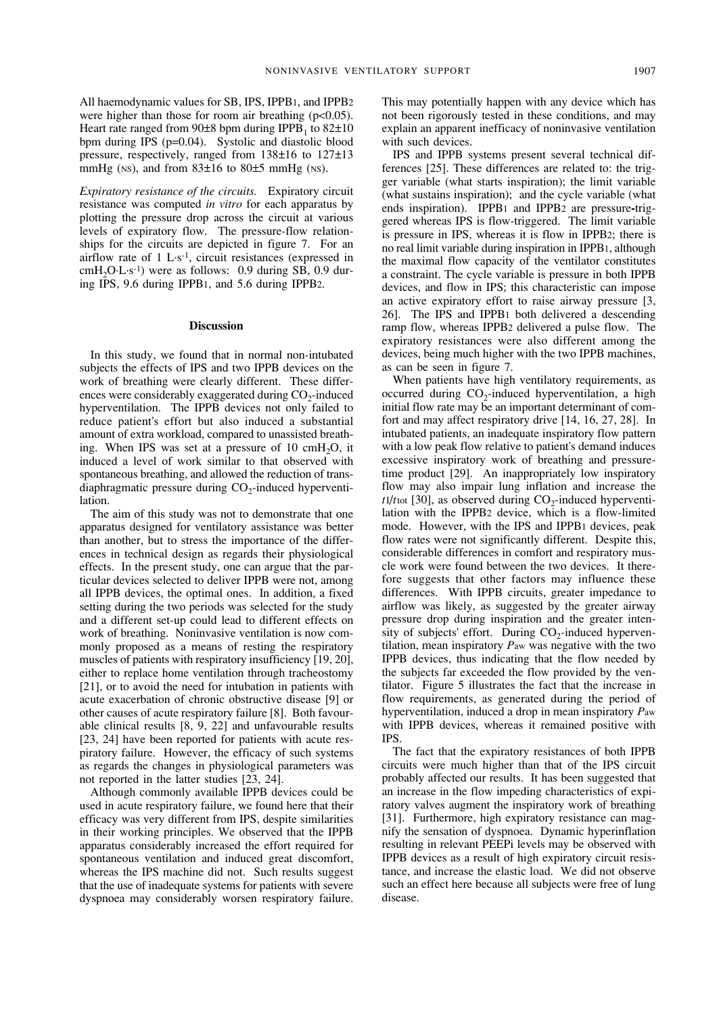All haemodynamic values for SB, IPS, IPPB1, and IPPB2 were higher than those for room air breathing  $(p<0.05)$ . Heart rate ranged from  $90±8$  bpm during IPPB<sub>1</sub> to  $82±10$ bpm during IPS (p=0.04). Systolic and diastolic blood pressure, respectively, ranged from 138±16 to 127±13 mmHg (NS), and from  $83\pm16$  to  $80\pm5$  mmHg (NS).

*Expiratory resistance of the circuits.* Expiratory circuit resistance was computed *in vitro* for each apparatus by plotting the pressure drop across the circuit at various levels of expiratory flow. The pressure-flow relationships for the circuits are depicted in figure 7. For an airflow rate of 1 L·s-1, circuit resistances (expressed in  $cmH<sub>2</sub>O·L·s<sup>-1</sup>$  were as follows: 0.9 during SB, 0.9 during IPS, 9.6 during IPPB1, and 5.6 during IPPB2.

# **Discussion**

In this study, we found that in normal non-intubated subjects the effects of IPS and two IPPB devices on the work of breathing were clearly different. These differences were considerably exaggerated during  $CO<sub>2</sub>$ -induced hyperventilation. The IPPB devices not only failed to reduce patient's effort but also induced a substantial amount of extra workload, compared to unassisted breathing. When IPS was set at a pressure of  $10 \text{ cm}H_2O$ , it induced a level of work similar to that observed with spontaneous breathing, and allowed the reduction of transdiaphragmatic pressure during  $CO<sub>2</sub>$ -induced hyperventilation.

The aim of this study was not to demonstrate that one apparatus designed for ventilatory assistance was better than another, but to stress the importance of the differences in technical design as regards their physiological effects. In the present study, one can argue that the particular devices selected to deliver IPPB were not, among all IPPB devices, the optimal ones. In addition, a fixed setting during the two periods was selected for the study and a different set-up could lead to different effects on work of breathing. Noninvasive ventilation is now commonly proposed as a means of resting the respiratory muscles of patients with respiratory insufficiency [19, 20], either to replace home ventilation through tracheostomy [21], or to avoid the need for intubation in patients with acute exacerbation of chronic obstructive disease [9] or other causes of acute respiratory failure [8]. Both favourable clinical results [8, 9, 22] and unfavourable results [23, 24] have been reported for patients with acute respiratory failure. However, the efficacy of such systems as regards the changes in physiological parameters was not reported in the latter studies [23, 24].

Although commonly available IPPB devices could be used in acute respiratory failure, we found here that their efficacy was very different from IPS, despite similarities in their working principles. We observed that the IPPB apparatus considerably increased the effort required for spontaneous ventilation and induced great discomfort, whereas the IPS machine did not. Such results suggest that the use of inadequate systems for patients with severe dyspnoea may considerably worsen respiratory failure.

This may potentially happen with any device which has not been rigorously tested in these conditions, and may explain an apparent inefficacy of noninvasive ventilation with such devices.

IPS and IPPB systems present several technical differences [25]. These differences are related to: the trigger variable (what starts inspiration); the limit variable (what sustains inspiration); and the cycle variable (what ends inspiration). IPPB1 and IPPB2 are pressure**-**triggered whereas IPS is flow-triggered. The limit variable is pressure in IPS, whereas it is flow in IPPB2; there is no real limit variable during inspiration in IPPB1, although the maximal flow capacity of the ventilator constitutes a constraint. The cycle variable is pressure in both IPPB devices, and flow in IPS; this characteristic can impose an active expiratory effort to raise airway pressure [3, 26]. The IPS and IPPB1 both delivered a descending ramp flow, whereas IPPB2 delivered a pulse flow. The expiratory resistances were also different among the devices, being much higher with the two IPPB machines, as can be seen in figure 7.

When patients have high ventilatory requirements, as occurred during  $CO<sub>2</sub>$ -induced hyperventilation, a high initial flow rate may be an important determinant of comfort and may affect respiratory drive [14, 16, 27, 28]. In intubated patients, an inadequate inspiratory flow pattern with a low peak flow relative to patient's demand induces excessive inspiratory work of breathing and pressuretime product [29]. An inappropriately low inspiratory flow may also impair lung inflation and increase the  $tI/t$ tot [30], as observed during  $CO_2$ -induced hyperventilation with the IPPB2 device, which is a flow-limited mode. However, with the IPS and IPPB1 devices, peak flow rates were not significantly different. Despite this, considerable differences in comfort and respiratory muscle work were found between the two devices. It therefore suggests that other factors may influence these differences. With IPPB circuits, greater impedance to airflow was likely, as suggested by the greater airway pressure drop during inspiration and the greater intensity of subjects' effort. During  $CO<sub>2</sub>$ -induced hyperventilation, mean inspiratory *P*aw was negative with the two IPPB devices, thus indicating that the flow needed by the subjects far exceeded the flow provided by the ventilator. Figure 5 illustrates the fact that the increase in flow requirements, as generated during the period of hyperventilation, induced a drop in mean inspiratory *P*aw with IPPB devices, whereas it remained positive with IPS.

The fact that the expiratory resistances of both IPPB circuits were much higher than that of the IPS circuit probably affected our results. It has been suggested that an increase in the flow impeding characteristics of expiratory valves augment the inspiratory work of breathing [31]. Furthermore, high expiratory resistance can magnify the sensation of dyspnoea. Dynamic hyperinflation resulting in relevant PEEPi levels may be observed with IPPB devices as a result of high expiratory circuit resistance, and increase the elastic load. We did not observe such an effect here because all subjects were free of lung disease.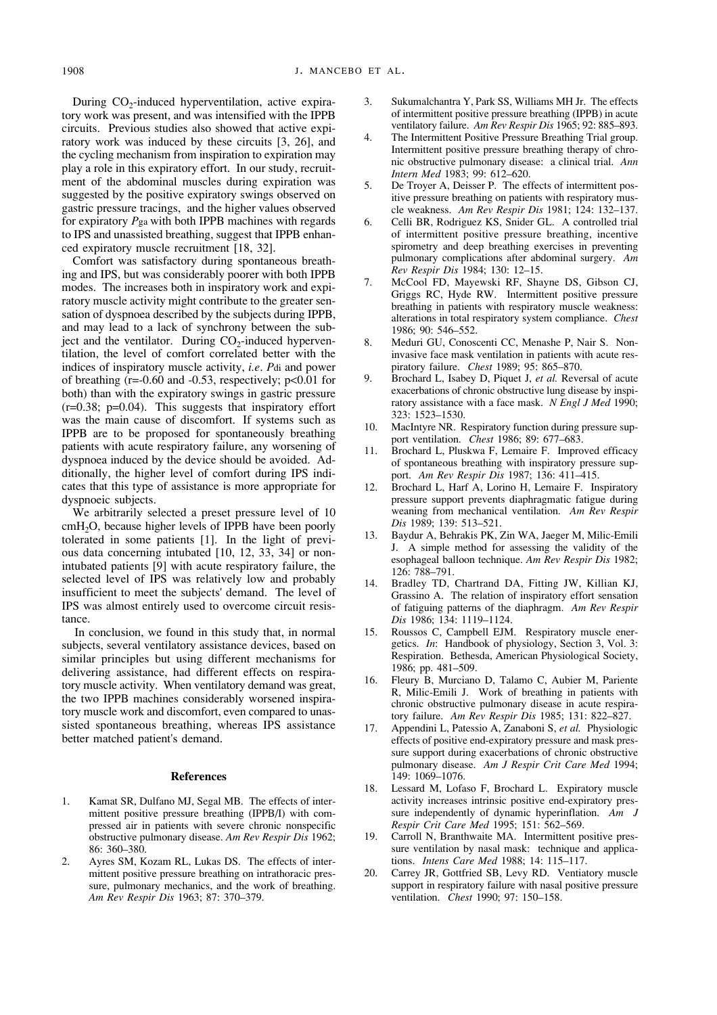During  $CO<sub>2</sub>$ -induced hyperventilation, active expiratory work was present, and was intensified with the IPPB circuits. Previous studies also showed that active expiratory work was induced by these circuits [3, 26], and the cycling mechanism from inspiration to expiration may play a role in this expiratory effort. In our study, recruitment of the abdominal muscles during expiration was suggested by the positive expiratory swings observed on gastric pressure tracings, and the higher values observed for expiratory *P*ga with both IPPB machines with regards to IPS and unassisted breathing, suggest that IPPB enhanced expiratory muscle recruitment [18, 32].

Comfort was satisfactory during spontaneous breathing and IPS, but was considerably poorer with both IPPB modes. The increases both in inspiratory work and expiratory muscle activity might contribute to the greater sensation of dyspnoea described by the subjects during IPPB, and may lead to a lack of synchrony between the subject and the ventilator. During  $CO<sub>2</sub>$ -induced hyperventilation, the level of comfort correlated better with the indices of inspiratory muscle activity, *i.e*. *P*di and power of breathing  $(r=0.60$  and  $-0.53$ , respectively;  $p<0.01$  for both) than with the expiratory swings in gastric pressure (r=0.38; p=0.04). This suggests that inspiratory effort was the main cause of discomfort. If systems such as IPPB are to be proposed for spontaneously breathing patients with acute respiratory failure, any worsening of dyspnoea induced by the device should be avoided. Additionally, the higher level of comfort during IPS indicates that this type of assistance is more appropriate for dyspnoeic subjects.

We arbitrarily selected a preset pressure level of 10 cmH<sub>2</sub>O, because higher levels of IPPB have been poorly tolerated in some patients [1]. In the light of previous data concerning intubated [10, 12, 33, 34] or nonintubated patients [9] with acute respiratory failure, the selected level of IPS was relatively low and probably insufficient to meet the subjects' demand. The level of IPS was almost entirely used to overcome circuit resistance.

In conclusion, we found in this study that, in normal subjects, several ventilatory assistance devices, based on similar principles but using different mechanisms for delivering assistance, had different effects on respiratory muscle activity. When ventilatory demand was great, the two IPPB machines considerably worsened inspiratory muscle work and discomfort, even compared to unassisted spontaneous breathing, whereas IPS assistance better matched patient's demand.

#### **References**

- 1. Kamat SR, Dulfano MJ, Segal MB. The effects of intermittent positive pressure breathing (IPPB/I) with compressed air in patients with severe chronic nonspecific obstructive pulmonary disease. *Am Rev Respir Dis* 1962; 86: 360–380.
- 2. Ayres SM, Kozam RL, Lukas DS. The effects of intermittent positive pressure breathing on intrathoracic pressure, pulmonary mechanics, and the work of breathing. *Am Rev Respir Dis* 1963; 87: 370–379.
- 3. Sukumalchantra Y, Park SS, Williams MH Jr. The effects of intermittent positive pressure breathing (IPPB) in acute ventilatory failure. *Am Rev Respir Dis* 1965; 92: 885–893.
- 4. The Intermittent Positive Pressure Breathing Trial group. Intermittent positive pressure breathing therapy of chronic obstructive pulmonary disease: a clinical trial. *Ann Intern Med* 1983; 99: 612–620.
- 5. De Troyer A, Deisser P. The effects of intermittent positive pressure breathing on patients with respiratory muscle weakness. *Am Rev Respir Dis* 1981; 124: 132–137.
- 6. Celli BR, Rodriguez KS, Snider GL. A controlled trial of intermittent positive pressure breathing, incentive spirometry and deep breathing exercises in preventing pulmonary complications after abdominal surgery. *Am Rev Respir Dis* 1984; 130: 12–15.
- 7. McCool FD, Mayewski RF, Shayne DS, Gibson CJ, Griggs RC, Hyde RW. Intermittent positive pressure breathing in patients with respiratory muscle weakness: alterations in total respiratory system compliance. *Chest* 1986; 90: 546–552.
- 8. Meduri GU, Conoscenti CC, Menashe P, Nair S. Noninvasive face mask ventilation in patients with acute respiratory failure. *Chest* 1989; 95: 865–870.
- 9. Brochard L, Isabey D, Piquet J, *et al.* Reversal of acute exacerbations of chronic obstructive lung disease by inspiratory assistance with a face mask. *N Engl J Med* 1990; 323: 1523–1530.
- 10. MacIntyre NR. Respiratory function during pressure support ventilation. *Chest* 1986; 89: 677–683.
- 11. Brochard L, Pluskwa F, Lemaire F. Improved efficacy of spontaneous breathing with inspiratory pressure support. *Am Rev Respir Dis* 1987; 136: 411–415.
- 12. Brochard L, Harf A, Lorino H, Lemaire F. Inspiratory pressure support prevents diaphragmatic fatigue during weaning from mechanical ventilation. *Am Rev Respir Dis* 1989; 139: 513–521.
- 13. Baydur A, Behrakis PK, Zin WA, Jaeger M, Milic-Emili J. A simple method for assessing the validity of the esophageal balloon technique. *Am Rev Respir Dis* 1982; 126: 788–791.
- 14. Bradley TD, Chartrand DA, Fitting JW, Killian KJ, Grassino A. The relation of inspiratory effort sensation of fatiguing patterns of the diaphragm. *Am Rev Respir Dis* 1986; 134: 1119–1124.
- 15. Roussos C, Campbell EJM. Respiratory muscle energetics. *In*: Handbook of physiology, Section 3, Vol. 3: Respiration. Bethesda, American Physiological Society, 1986; pp. 481–509.
- 16. Fleury B, Murciano D, Talamo C, Aubier M, Pariente R, Milic-Emili J. Work of breathing in patients with chronic obstructive pulmonary disease in acute respiratory failure. *Am Rev Respir Dis* 1985; 131: 822–827.
- 17. Appendini L, Patessio A, Zanaboni S, *et al.* Physiologic effects of positive end-expiratory pressure and mask pressure support during exacerbations of chronic obstructive pulmonary disease. *Am J Respir Crit Care Med* 1994; 149: 1069–1076.
- 18. Lessard M, Lofaso F, Brochard L. Expiratory muscle activity increases intrinsic positive end-expiratory pressure independently of dynamic hyperinflation. *Am J Respir Crit Care Med* 1995; 151: 562–569.
- 19. Carroll N, Branthwaite MA. Intermittent positive pressure ventilation by nasal mask: technique and applications. *Intens Care Med* 1988; 14: 115–117.
- 20. Carrey JR, Gottfried SB, Levy RD. Ventiatory muscle support in respiratory failure with nasal positive pressure ventilation. *Chest* 1990; 97: 150–158.